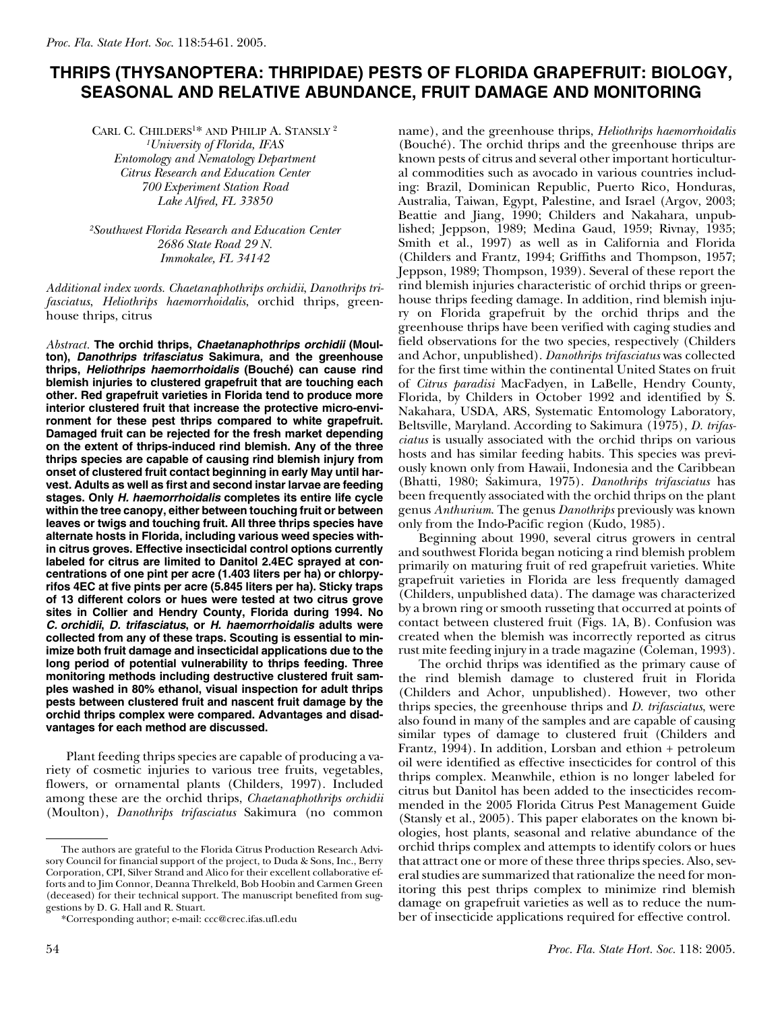## **THRIPS (THYSANOPTERA: THRIPIDAE) PESTS OF FLORIDA GRAPEFRUIT: BIOLOGY, SEASONAL AND RELATIVE ABUNDANCE, FRUIT DAMAGE AND MONITORING**

CARL C. CHILDERS1\* AND PHILIP A. STANSLY <sup>2</sup> *1University of Florida, IFAS*

*Entomology and Nematology Department Citrus Research and Education Center 700 Experiment Station Road Lake Alfred, FL 33850*

*2Southwest Florida Research and Education Center 2686 State Road 29 N. Immokalee, FL 34142*

*Additional index words. Chaetanaphothrips orchidii*, *Danothrips trifasciatus*, *Heliothrips haemorrhoidalis*, orchid thrips, greenhouse thrips, citrus

*Abstract.* **The orchid thrips,** *Chaetanaphothrips orchidii* **(Moulton),** *Danothrips trifasciatus* **Sakimura, and the greenhouse thrips,** *Heliothrips haemorrhoidalis* **(Bouché) can cause rind blemish injuries to clustered grapefruit that are touching each other. Red grapefruit varieties in Florida tend to produce more interior clustered fruit that increase the protective micro-environment for these pest thrips compared to white grapefruit. Damaged fruit can be rejected for the fresh market depending on the extent of thrips-induced rind blemish. Any of the three thrips species are capable of causing rind blemish injury from onset of clustered fruit contact beginning in early May until harvest. Adults as well as first and second instar larvae are feeding stages. Only** *H. haemorrhoidalis* **completes its entire life cycle within the tree canopy, either between touching fruit or between leaves or twigs and touching fruit. All three thrips species have alternate hosts in Florida, including various weed species within citrus groves. Effective insecticidal control options currently labeled for citrus are limited to Danitol 2.4EC sprayed at concentrations of one pint per acre (1.403 liters per ha) or chlorpyrifos 4EC at five pints per acre (5.845 liters per ha). Sticky traps of 13 different colors or hues were tested at two citrus grove sites in Collier and Hendry County, Florida during 1994. No** *C. orchidii***,** *D. trifasciatus***, or** *H. haemorrhoidalis* **adults were collected from any of these traps. Scouting is essential to minimize both fruit damage and insecticidal applications due to the long period of potential vulnerability to thrips feeding. Three monitoring methods including destructive clustered fruit samples washed in 80% ethanol, visual inspection for adult thrips pests between clustered fruit and nascent fruit damage by the orchid thrips complex were compared. Advantages and disadvantages for each method are discussed.**

Plant feeding thrips species are capable of producing a variety of cosmetic injuries to various tree fruits, vegetables, flowers, or ornamental plants (Childers, 1997). Included among these are the orchid thrips, *Chaetanaphothrips orchidii* (Moulton), *Danothrips trifasciatus* Sakimura (no common

name), and the greenhouse thrips, *Heliothrips haemorrhoidalis* (Bouché). The orchid thrips and the greenhouse thrips are known pests of citrus and several other important horticultural commodities such as avocado in various countries including: Brazil, Dominican Republic, Puerto Rico, Honduras, Australia, Taiwan, Egypt, Palestine, and Israel (Argov, 2003; Beattie and Jiang, 1990; Childers and Nakahara, unpublished; Jeppson, 1989; Medina Gaud, 1959; Rivnay, 1935; Smith et al., 1997) as well as in California and Florida (Childers and Frantz, 1994; Griffiths and Thompson, 1957; Jeppson, 1989; Thompson, 1939). Several of these report the rind blemish injuries characteristic of orchid thrips or greenhouse thrips feeding damage. In addition, rind blemish injury on Florida grapefruit by the orchid thrips and the greenhouse thrips have been verified with caging studies and field observations for the two species, respectively (Childers and Achor, unpublished). *Danothrips trifasciatus* was collected for the first time within the continental United States on fruit of *Citrus paradisi* MacFadyen, in LaBelle, Hendry County, Florida, by Childers in October 1992 and identified by S. Nakahara, USDA, ARS, Systematic Entomology Laboratory, Beltsville, Maryland. According to Sakimura (1975), *D. trifasciatus* is usually associated with the orchid thrips on various hosts and has similar feeding habits. This species was previously known only from Hawaii, Indonesia and the Caribbean (Bhatti, 1980; Sakimura, 1975). *Danothrips trifasciatus* has been frequently associated with the orchid thrips on the plant genus *Anthurium*. The genus *Danothrips* previously was known only from the Indo-Pacific region (Kudo, 1985).

Beginning about 1990, several citrus growers in central and southwest Florida began noticing a rind blemish problem primarily on maturing fruit of red grapefruit varieties. White grapefruit varieties in Florida are less frequently damaged (Childers, unpublished data). The damage was characterized by a brown ring or smooth russeting that occurred at points of contact between clustered fruit (Figs. 1A, B). Confusion was created when the blemish was incorrectly reported as citrus rust mite feeding injury in a trade magazine (Coleman, 1993).

The orchid thrips was identified as the primary cause of the rind blemish damage to clustered fruit in Florida (Childers and Achor, unpublished). However, two other thrips species, the greenhouse thrips and *D. trifasciatus*, were also found in many of the samples and are capable of causing similar types of damage to clustered fruit (Childers and Frantz, 1994). In addition, Lorsban and ethion + petroleum oil were identified as effective insecticides for control of this thrips complex. Meanwhile, ethion is no longer labeled for citrus but Danitol has been added to the insecticides recommended in the 2005 Florida Citrus Pest Management Guide (Stansly et al., 2005). This paper elaborates on the known biologies, host plants, seasonal and relative abundance of the orchid thrips complex and attempts to identify colors or hues that attract one or more of these three thrips species. Also, several studies are summarized that rationalize the need for monitoring this pest thrips complex to minimize rind blemish damage on grapefruit varieties as well as to reduce the number of insecticide applications required for effective control.

The authors are grateful to the Florida Citrus Production Research Advisory Council for financial support of the project, to Duda & Sons, Inc., Berry Corporation, CPI, Silver Strand and Alico for their excellent collaborative efforts and to Jim Connor, Deanna Threlkeld, Bob Hoobin and Carmen Green (deceased) for their technical support. The manuscript benefited from suggestions by D. G. Hall and R. Stuart.

<sup>\*</sup>Corresponding author; e-mail: ccc@crec.ifas.ufl.edu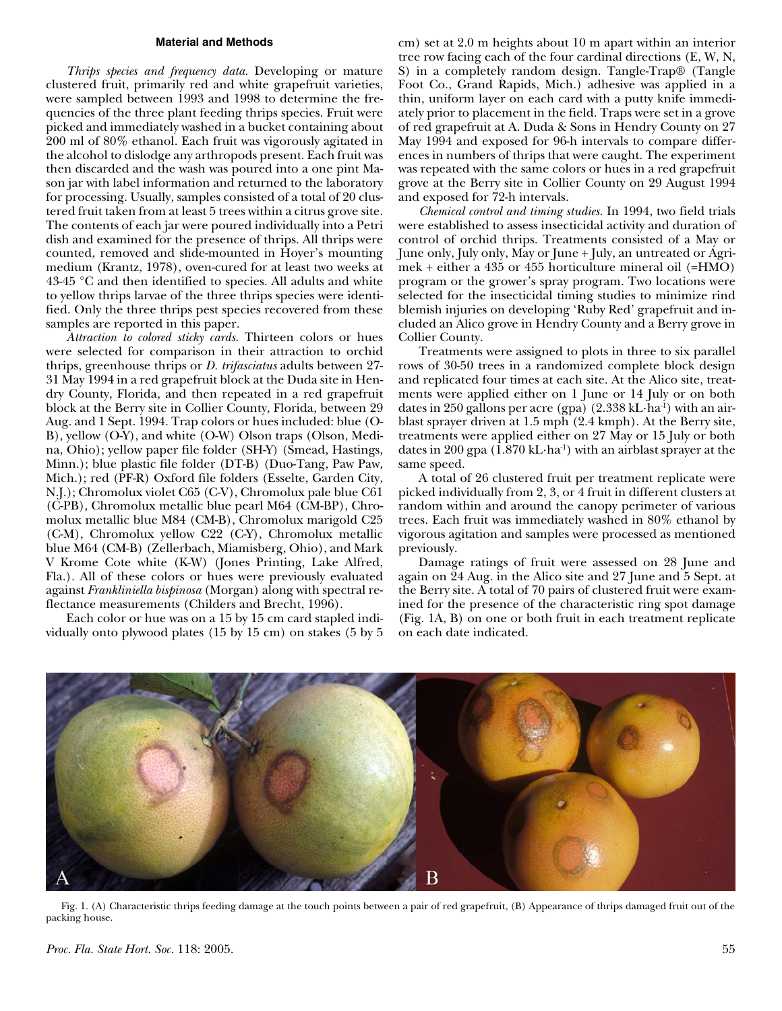#### **Material and Methods**

*Thrips species and frequency data.* Developing or mature clustered fruit, primarily red and white grapefruit varieties, were sampled between 1993 and 1998 to determine the frequencies of the three plant feeding thrips species. Fruit were picked and immediately washed in a bucket containing about 200 ml of 80% ethanol. Each fruit was vigorously agitated in the alcohol to dislodge any arthropods present. Each fruit was then discarded and the wash was poured into a one pint Mason jar with label information and returned to the laboratory for processing. Usually, samples consisted of a total of 20 clustered fruit taken from at least 5 trees within a citrus grove site. The contents of each jar were poured individually into a Petri dish and examined for the presence of thrips. All thrips were counted, removed and slide-mounted in Hoyer's mounting medium (Krantz, 1978), oven-cured for at least two weeks at 43-45 °C and then identified to species. All adults and white to yellow thrips larvae of the three thrips species were identified. Only the three thrips pest species recovered from these samples are reported in this paper.

*Attraction to colored sticky cards.* Thirteen colors or hues were selected for comparison in their attraction to orchid thrips, greenhouse thrips or *D. trifasciatus* adults between 27- 31 May 1994 in a red grapefruit block at the Duda site in Hendry County, Florida, and then repeated in a red grapefruit block at the Berry site in Collier County, Florida, between 29 Aug. and 1 Sept. 1994. Trap colors or hues included: blue (O-B), yellow (O-Y), and white (O-W) Olson traps (Olson, Medina, Ohio); yellow paper file folder (SH-Y) (Smead, Hastings, Minn.); blue plastic file folder (DT-B) (Duo-Tang, Paw Paw, Mich.); red (PF-R) Oxford file folders (Esselte, Garden City, N.J.); Chromolux violet C65 (C-V), Chromolux pale blue C61 (C-PB), Chromolux metallic blue pearl M64 (CM-BP), Chromolux metallic blue M84 (CM-B), Chromolux marigold C25 (C-M), Chromolux yellow C22 (C-Y), Chromolux metallic blue M64 (CM-B) (Zellerbach, Miamisberg, Ohio), and Mark V Krome Cote white (K-W) (Jones Printing, Lake Alfred, Fla.). All of these colors or hues were previously evaluated against *Frankliniella bispinosa* (Morgan) along with spectral reflectance measurements (Childers and Brecht, 1996).

Each color or hue was on a 15 by 15 cm card stapled individually onto plywood plates (15 by 15 cm) on stakes (5 by 5

cm) set at 2.0 m heights about 10 m apart within an interior tree row facing each of the four cardinal directions (E, W, N, S) in a completely random design. Tangle-Trap® (Tangle Foot Co., Grand Rapids, Mich.) adhesive was applied in a thin, uniform layer on each card with a putty knife immediately prior to placement in the field. Traps were set in a grove of red grapefruit at A. Duda & Sons in Hendry County on 27 May 1994 and exposed for 96-h intervals to compare differences in numbers of thrips that were caught. The experiment was repeated with the same colors or hues in a red grapefruit grove at the Berry site in Collier County on 29 August 1994 and exposed for 72-h intervals.

*Chemical control and timing studies.* In 1994, two field trials were established to assess insecticidal activity and duration of control of orchid thrips. Treatments consisted of a May or June only, July only, May or June + July, an untreated or Agrimek + either a 435 or 455 horticulture mineral oil (=HMO) program or the grower's spray program. Two locations were selected for the insecticidal timing studies to minimize rind blemish injuries on developing 'Ruby Red' grapefruit and included an Alico grove in Hendry County and a Berry grove in Collier County.

Treatments were assigned to plots in three to six parallel rows of 30-50 trees in a randomized complete block design and replicated four times at each site. At the Alico site, treatments were applied either on 1 June or 14 July or on both dates in 250 gallons per acre (gpa)  $(2.338 \text{ kL} \cdot \text{h}a^{-1})$  with an airblast sprayer driven at 1.5 mph (2.4 kmph). At the Berry site, treatments were applied either on 27 May or 15 July or both dates in 200 gpa  $(1.870 \text{ kL} \cdot \text{ha}^1)$  with an airblast sprayer at the same speed.

A total of 26 clustered fruit per treatment replicate were picked individually from 2, 3, or 4 fruit in different clusters at random within and around the canopy perimeter of various trees. Each fruit was immediately washed in 80% ethanol by vigorous agitation and samples were processed as mentioned previously.

Damage ratings of fruit were assessed on 28 June and again on 24 Aug. in the Alico site and 27 June and 5 Sept. at the Berry site. A total of 70 pairs of clustered fruit were examined for the presence of the characteristic ring spot damage (Fig. 1A, B) on one or both fruit in each treatment replicate on each date indicated.



Fig. 1. (A) Characteristic thrips feeding damage at the touch points between a pair of red grapefruit, (B) Appearance of thrips damaged fruit out of the packing house.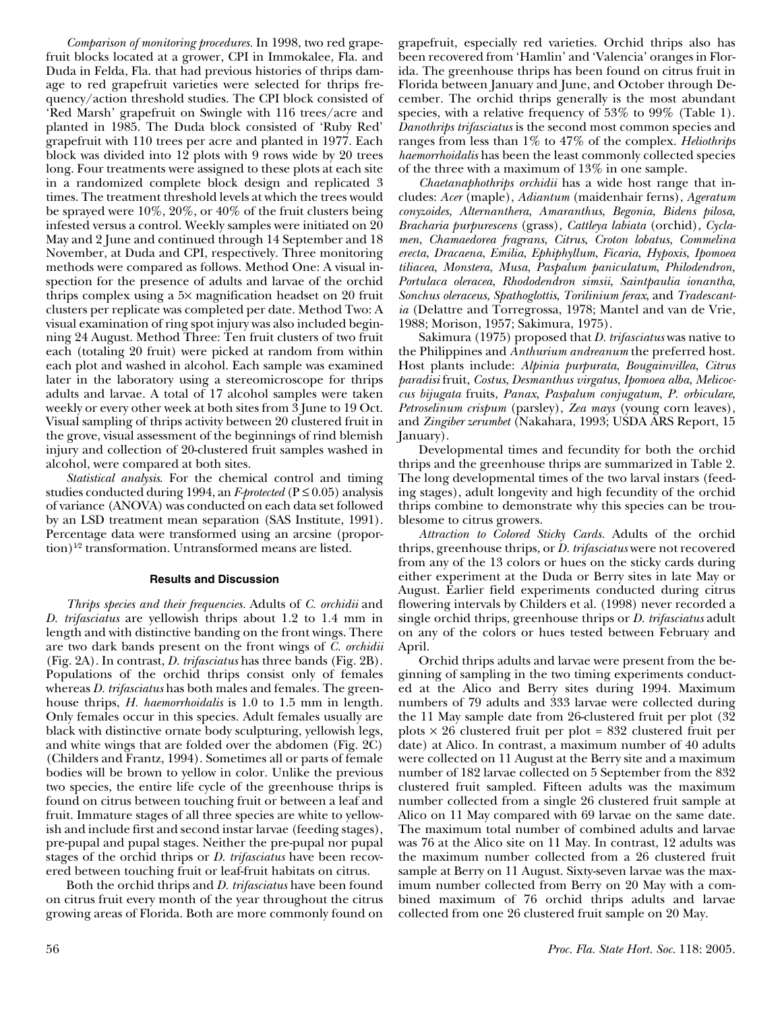*Comparison of monitoring procedures.* In 1998, two red grapefruit blocks located at a grower, CPI in Immokalee, Fla. and Duda in Felda, Fla. that had previous histories of thrips damage to red grapefruit varieties were selected for thrips frequency/action threshold studies. The CPI block consisted of 'Red Marsh' grapefruit on Swingle with 116 trees/acre and planted in 1985. The Duda block consisted of 'Ruby Red' grapefruit with 110 trees per acre and planted in 1977. Each block was divided into 12 plots with 9 rows wide by 20 trees long. Four treatments were assigned to these plots at each site in a randomized complete block design and replicated 3 times. The treatment threshold levels at which the trees would be sprayed were 10%, 20%, or 40% of the fruit clusters being infested versus a control. Weekly samples were initiated on 20 May and 2 June and continued through 14 September and 18 November, at Duda and CPI, respectively. Three monitoring methods were compared as follows. Method One: A visual inspection for the presence of adults and larvae of the orchid thrips complex using a 5× magnification headset on 20 fruit clusters per replicate was completed per date. Method Two: A visual examination of ring spot injury was also included beginning 24 August. Method Three: Ten fruit clusters of two fruit each (totaling 20 fruit) were picked at random from within each plot and washed in alcohol. Each sample was examined later in the laboratory using a stereomicroscope for thrips adults and larvae. A total of 17 alcohol samples were taken weekly or every other week at both sites from 3 June to 19 Oct. Visual sampling of thrips activity between 20 clustered fruit in the grove, visual assessment of the beginnings of rind blemish injury and collection of 20-clustered fruit samples washed in alcohol, were compared at both sites.

*Statistical analysis*. For the chemical control and timing studies conducted during 1994, an *F-protected* (P ≤ 0.05) analysis of variance (ANOVA) was conducted on each data set followed by an LSD treatment mean separation (SAS Institute, 1991). Percentage data were transformed using an arcsine (proportion)<sup>1/2</sup> transformation. Untransformed means are listed.

### **Results and Discussion**

*Thrips species and their frequencies.* Adults of *C. orchidii* and *D. trifasciatus* are yellowish thrips about 1.2 to 1.4 mm in length and with distinctive banding on the front wings. There are two dark bands present on the front wings of *C. orchidii* (Fig. 2A). In contrast, *D. trifasciatus* has three bands (Fig. 2B). Populations of the orchid thrips consist only of females whereas *D. trifasciatus* has both males and females*.* The greenhouse thrips, *H. haemorrhoidalis* is 1.0 to 1.5 mm in length. Only females occur in this species. Adult females usually are black with distinctive ornate body sculpturing, yellowish legs, and white wings that are folded over the abdomen (Fig. 2C) (Childers and Frantz, 1994). Sometimes all or parts of female bodies will be brown to yellow in color. Unlike the previous two species, the entire life cycle of the greenhouse thrips is found on citrus between touching fruit or between a leaf and fruit. Immature stages of all three species are white to yellowish and include first and second instar larvae (feeding stages), pre-pupal and pupal stages. Neither the pre-pupal nor pupal stages of the orchid thrips or *D. trifasciatus* have been recovered between touching fruit or leaf-fruit habitats on citrus.

Both the orchid thrips and *D. trifasciatus* have been found on citrus fruit every month of the year throughout the citrus growing areas of Florida. Both are more commonly found on

grapefruit, especially red varieties. Orchid thrips also has been recovered from 'Hamlin' and 'Valencia' oranges in Florida. The greenhouse thrips has been found on citrus fruit in Florida between January and June, and October through December. The orchid thrips generally is the most abundant species, with a relative frequency of 53% to 99% (Table 1). *Danothrips trifasciatus* is the second most common species and ranges from less than 1% to 47% of the complex. *Heliothrips haemorrhoidalis* has been the least commonly collected species of the three with a maximum of 13% in one sample.

*Chaetanaphothrips orchidii* has a wide host range that includes: *Acer* (maple), *Adiantum* (maidenhair ferns), *Ageratum conyzoides*, *Alternanthera*, *Amaranthus*, *Begonia*, *Bidens pilosa*, *Bracharia purpurescens* (grass), *Cattleya labiata* (orchid), *Cyclamen*, *Chamaedorea fragrans*, *Citrus*, *Croton lobatus*, *Commelina erecta*, *Dracaena*, *Emilia*, *Ephiphyllum*, *Ficaria*, *Hypoxis*, *Ipomoea tiliacea*, *Monstera*, *Musa*, *Paspalum paniculatum*, *Philodendron, Portulaca oleracea*, *Rhododendron simsii*, *Saintpaulia ionantha*, *Sonchus oleraceus*, *Spathoglottis*, *Torilinium ferax*, and *Tradescantia* (Delattre and Torregrossa, 1978; Mantel and van de Vrie, 1988; Morison, 1957; Sakimura, 1975).

Sakimura (1975) proposed that *D. trifasciatus* was native to the Philippines and *Anthurium andreanum* the preferred host. Host plants include: *Alpinia purpurata*, *Bougainvillea*, *Citrus paradisi* fruit, *Costus*, *Desmanthus virgatus*, *Ipomoea alba*, *Melicoccus bijugata* fruits, *Panax*, *Paspalum conjugatum*, *P. orbiculare*, *Petroselinum crispum* (parsley), *Zea mays* (young corn leaves), and *Zingiber zerumbet* (Nakahara, 1993; USDA ARS Report, 15 January).

Developmental times and fecundity for both the orchid thrips and the greenhouse thrips are summarized in Table 2. The long developmental times of the two larval instars (feeding stages), adult longevity and high fecundity of the orchid thrips combine to demonstrate why this species can be troublesome to citrus growers.

*Attraction to Colored Sticky Cards.* Adults of the orchid thrips, greenhouse thrips, or *D. trifasciatus* were not recovered from any of the 13 colors or hues on the sticky cards during either experiment at the Duda or Berry sites in late May or August. Earlier field experiments conducted during citrus flowering intervals by Childers et al. (1998) never recorded a single orchid thrips, greenhouse thrips or *D. trifasciatus* adult on any of the colors or hues tested between February and April.

Orchid thrips adults and larvae were present from the beginning of sampling in the two timing experiments conducted at the Alico and Berry sites during 1994. Maximum numbers of 79 adults and 333 larvae were collected during the 11 May sample date from 26-clustered fruit per plot (32 plots  $\times$  26 clustered fruit per plot = 832 clustered fruit per date) at Alico. In contrast, a maximum number of 40 adults were collected on 11 August at the Berry site and a maximum number of 182 larvae collected on 5 September from the 832 clustered fruit sampled. Fifteen adults was the maximum number collected from a single 26 clustered fruit sample at Alico on 11 May compared with 69 larvae on the same date. The maximum total number of combined adults and larvae was 76 at the Alico site on 11 May. In contrast, 12 adults was the maximum number collected from a 26 clustered fruit sample at Berry on 11 August. Sixty-seven larvae was the maximum number collected from Berry on 20 May with a combined maximum of 76 orchid thrips adults and larvae collected from one 26 clustered fruit sample on 20 May.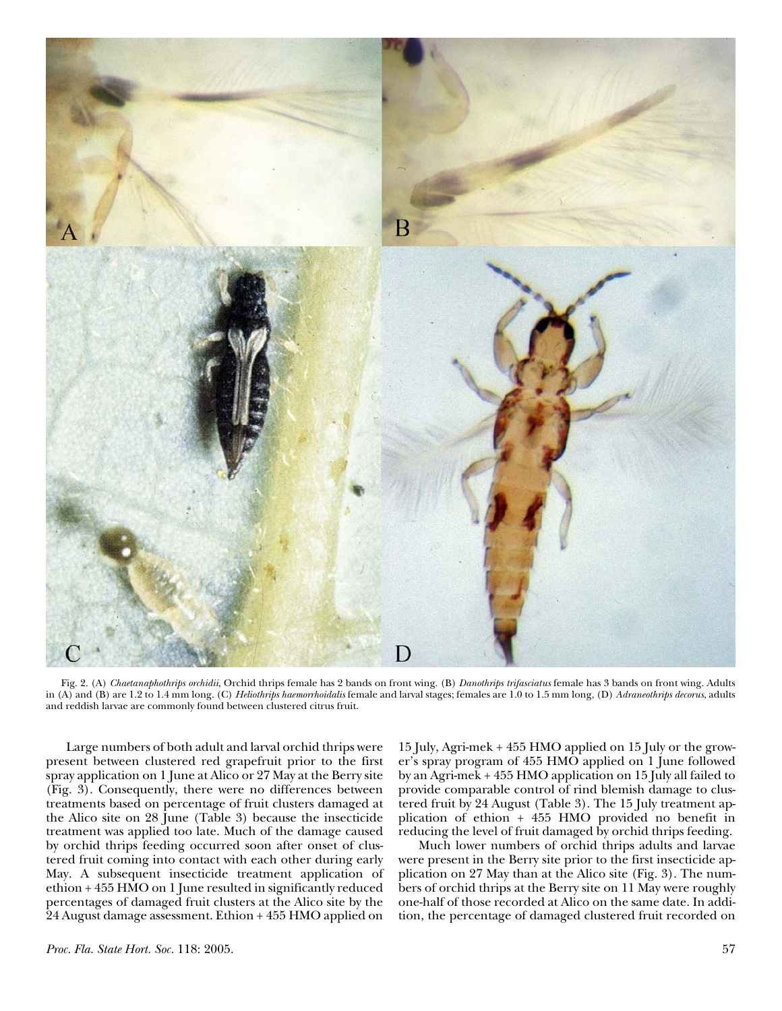

Fig. 2. (A) *Chaetanaphothrips orchidii*, Orchid thrips female has 2 bands on front wing. (B) *Danothrips trifasciatus* female has 3 bands on front wing. Adults in (A) and (B) are 1.2 to 1.4 mm long. (C) *Heliothrips haemorrhoidalis* female and larval stages; females are 1.0 to 1.5 mm long, (D) *Adraneothrips decorus*, adults and reddish larvae are commonly found between clustered citrus fruit.

Large numbers of both adult and larval orchid thrips were present between clustered red grapefruit prior to the first spray application on 1 June at Alico or 27 May at the Berry site (Fig. 3). Consequently, there were no differences between treatments based on percentage of fruit clusters damaged at the Alico site on 28 June (Table 3) because the insecticide treatment was applied too late. Much of the damage caused by orchid thrips feeding occurred soon after onset of clustered fruit coming into contact with each other during early May. A subsequent insecticide treatment application of ethion + 455 HMO on 1 June resulted in significantly reduced percentages of damaged fruit clusters at the Alico site by the 24 August damage assessment. Ethion + 455 HMO applied on

15 July, Agri-mek + 455 HMO applied on 15 July or the grower's spray program of 455 HMO applied on 1 June followed by an Agri-mek + 455 HMO application on 15 July all failed to provide comparable control of rind blemish damage to clustered fruit by 24 August (Table 3). The 15 July treatment application of ethion + 455 HMO provided no benefit in reducing the level of fruit damaged by orchid thrips feeding.

Much lower numbers of orchid thrips adults and larvae were present in the Berry site prior to the first insecticide application on 27 May than at the Alico site (Fig. 3). The numbers of orchid thrips at the Berry site on 11 May were roughly one-half of those recorded at Alico on the same date. In addition, the percentage of damaged clustered fruit recorded on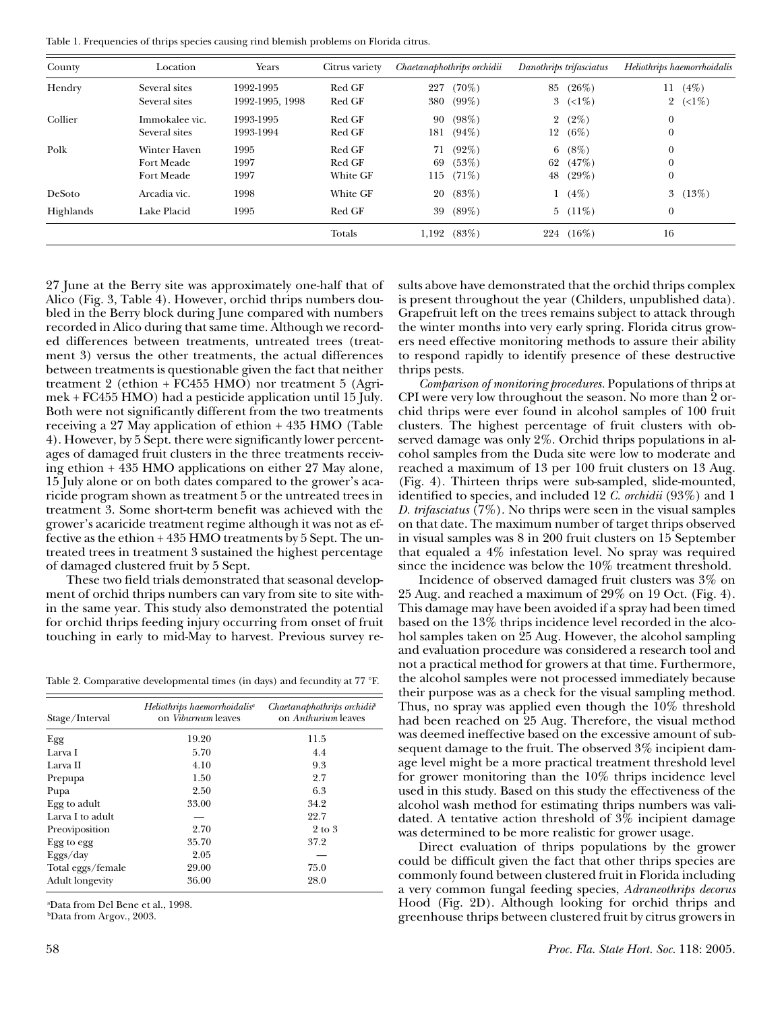Table 1. Frequencies of thrips species causing rind blemish problems on Florida citrus.

| County    | Location       | Years           | Citrus variety |     | Chaetanaphothrips orchidii |                | Danothrips trifasciatus | Heliothrips haemorrhoidalis |                          |
|-----------|----------------|-----------------|----------------|-----|----------------------------|----------------|-------------------------|-----------------------------|--------------------------|
| Hendry    | Several sites  | 1992-1995       | Red GF         | 227 | $(70\%)$                   | 85             | (26%)                   | 11                          | (4%)                     |
|           | Several sites  | 1992-1995, 1998 | Red GF         | 380 | $(99\%)$                   |                | 3 $(<1\%)$              |                             | 2 $(\langle 1\% \rangle$ |
| Collier   | Immokalee vic. | 1993-1995       | Red GF         | 90  | $(98\%)$                   | $\overline{2}$ | $(2\%)$                 | $\theta$                    |                          |
|           | Several sites  | 1993-1994       | Red GF         | 181 | (94%)                      | 12             | (6%)                    | $\boldsymbol{0}$            |                          |
| Polk      | Winter Haven   | 1995            | Red GF         | 71  | $(92\%)$                   | 6              | (8%)                    | $\theta$                    |                          |
|           | Fort Meade     | 1997            | Red GF         | 69  | (53%)                      | 62             | (47%)                   | $\mathbf{0}$                |                          |
|           | Fort Meade     | 1997            | White GF       | 115 | $(71\%)$                   | 48             | (29%)                   | $\theta$                    |                          |
| DeSoto    | Arcadia vic.   | 1998            | White GF       | 20  | (83%)                      | 1              | (4%)                    |                             | 3 $(13%)$                |
| Highlands | Lake Placid    | 1995            | Red GF         | 39  | $(89\%)$                   |                | $5(11\%)$               | $\theta$                    |                          |
|           |                |                 | Totals         |     | $1,192$ $(83%)$            |                | 224 (16%)               | 16                          |                          |

27 June at the Berry site was approximately one-half that of Alico (Fig. 3, Table 4). However, orchid thrips numbers doubled in the Berry block during June compared with numbers recorded in Alico during that same time. Although we recorded differences between treatments, untreated trees (treatment 3) versus the other treatments, the actual differences between treatments is questionable given the fact that neither treatment 2 (ethion + FC455 HMO) nor treatment 5 (Agrimek + FC455 HMO) had a pesticide application until 15 July. Both were not significantly different from the two treatments receiving a 27 May application of ethion + 435 HMO (Table 4). However, by 5 Sept. there were significantly lower percentages of damaged fruit clusters in the three treatments receiving ethion + 435 HMO applications on either 27 May alone, 15 July alone or on both dates compared to the grower's acaricide program shown as treatment 5 or the untreated trees in treatment 3. Some short-term benefit was achieved with the grower's acaricide treatment regime although it was not as effective as the ethion + 435 HMO treatments by 5 Sept. The untreated trees in treatment 3 sustained the highest percentage of damaged clustered fruit by 5 Sept.

These two field trials demonstrated that seasonal development of orchid thrips numbers can vary from site to site within the same year. This study also demonstrated the potential for orchid thrips feeding injury occurring from onset of fruit touching in early to mid-May to harvest. Previous survey re-

Table 2. Comparative developmental times (in days) and fecundity at 77 °F.

| Stage/Interval         | Heliothrips haemorrhoidalis <sup>a</sup><br>on Viburnum leaves | $Chaetanaphothrips$ orchidit <sup>b</sup><br>on Anthurium leaves |  |
|------------------------|----------------------------------------------------------------|------------------------------------------------------------------|--|
| Egg                    | 19.20                                                          | 11.5                                                             |  |
| Larva I                | 5.70                                                           | 4.4                                                              |  |
| Larva II               | 4.10                                                           | 9.3                                                              |  |
| Prepupa                | 1.50                                                           | 2.7                                                              |  |
| Pupa                   | 2.50                                                           | 6.3                                                              |  |
| Egg to adult           | 33.00                                                          | 34.2                                                             |  |
| Larva I to adult       |                                                                | 22.7                                                             |  |
| Preoviposition         | 2.70                                                           | 2 to 3                                                           |  |
| Egg to egg             | 35.70                                                          | 37.2                                                             |  |
| Eggs/day               | 2.05                                                           |                                                                  |  |
| Total eggs/female      | 29.00                                                          | 75.0                                                             |  |
| <b>Adult longevity</b> | 36.00                                                          | 28.0                                                             |  |

a Data from Del Bene et al., 1998.

bData from Argov., 2003.

sults above have demonstrated that the orchid thrips complex is present throughout the year (Childers, unpublished data). Grapefruit left on the trees remains subject to attack through the winter months into very early spring. Florida citrus growers need effective monitoring methods to assure their ability to respond rapidly to identify presence of these destructive thrips pests.

*Comparison of monitoring procedures.* Populations of thrips at CPI were very low throughout the season. No more than 2 orchid thrips were ever found in alcohol samples of 100 fruit clusters. The highest percentage of fruit clusters with observed damage was only 2%. Orchid thrips populations in alcohol samples from the Duda site were low to moderate and reached a maximum of 13 per 100 fruit clusters on 13 Aug. (Fig. 4). Thirteen thrips were sub-sampled, slide-mounted, identified to species, and included 12 *C. orchidii* (93%) and 1 *D. trifasciatus* (7%). No thrips were seen in the visual samples on that date. The maximum number of target thrips observed in visual samples was 8 in 200 fruit clusters on 15 September that equaled a 4% infestation level. No spray was required since the incidence was below the 10% treatment threshold.

Incidence of observed damaged fruit clusters was 3% on 25 Aug. and reached a maximum of 29% on 19 Oct. (Fig. 4). This damage may have been avoided if a spray had been timed based on the 13% thrips incidence level recorded in the alcohol samples taken on 25 Aug. However, the alcohol sampling and evaluation procedure was considered a research tool and not a practical method for growers at that time. Furthermore, the alcohol samples were not processed immediately because their purpose was as a check for the visual sampling method. Thus, no spray was applied even though the 10% threshold had been reached on 25 Aug. Therefore, the visual method was deemed ineffective based on the excessive amount of subsequent damage to the fruit. The observed 3% incipient damage level might be a more practical treatment threshold level for grower monitoring than the 10% thrips incidence level used in this study. Based on this study the effectiveness of the alcohol wash method for estimating thrips numbers was validated. A tentative action threshold of 3% incipient damage was determined to be more realistic for grower usage.

Direct evaluation of thrips populations by the grower could be difficult given the fact that other thrips species are commonly found between clustered fruit in Florida including a very common fungal feeding species, *Adraneothrips decorus* Hood (Fig. 2D). Although looking for orchid thrips and greenhouse thrips between clustered fruit by citrus growers in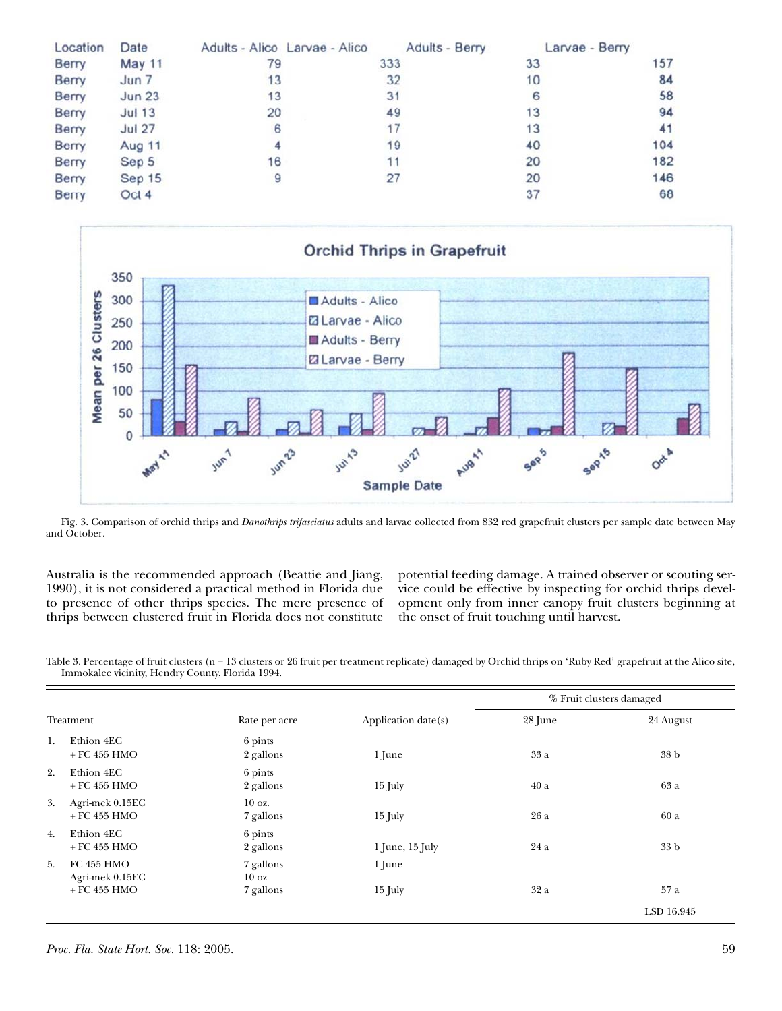| Location     | Date              | Adults - Alico Larvae - Alico | Adults - Berry | Larvae - Berry |     |
|--------------|-------------------|-------------------------------|----------------|----------------|-----|
| Berry        | <b>May 11</b>     | 79                            | 333            | 33             | 157 |
| <b>Berry</b> | Jun 7             | 13                            | 32             | 10             | 84  |
| <b>Berry</b> | Jun <sub>23</sub> | 13                            | 31             | 6              | 58  |
| <b>Berry</b> | <b>Jul 13</b>     | 20                            | 49             | 13             | 94  |
| Berry        | <b>Jul 27</b>     | 6                             | 17             | 13             | 41  |
| Berry        | Aug 11            | 4                             | 19             | 40             | 104 |
| Berry        | Sep 5             | 16                            | 11             | 20             | 182 |
| Berry        | Sep 15            | 9                             | 27             | 20             | 146 |
| <b>Berry</b> | Oct 4             |                               |                | 37             | 68  |



Fig. 3. Comparison of orchid thrips and *Danothrips trifasciatus* adults and larvae collected from 832 red grapefruit clusters per sample date between May and October.

Australia is the recommended approach (Beattie and Jiang, 1990), it is not considered a practical method in Florida due to presence of other thrips species. The mere presence of thrips between clustered fruit in Florida does not constitute

potential feeding damage. A trained observer or scouting service could be effective by inspecting for orchid thrips development only from inner canopy fruit clusters beginning at the onset of fruit touching until harvest.

Table 3. Percentage of fruit clusters (n = 13 clusters or 26 fruit per treatment replicate) damaged by Orchid thrips on 'Ruby Red' grapefruit at the Alico site, Immokalee vicinity, Hendry County, Florida 1994.

|           |                                      |                               |                     | % Fruit clusters damaged |                    |  |
|-----------|--------------------------------------|-------------------------------|---------------------|--------------------------|--------------------|--|
| Treatment |                                      | Rate per acre                 | Application date(s) | 28 June                  | 24 August          |  |
| 1.        | Ethion 4EC<br>$+$ FC 455 HMO         | 6 pints<br>2 gallons          | 1 June              | 33 a                     | 38 b               |  |
| 2.        | Ethion 4EC<br>$+$ FC 455 HMO         | 6 pints<br>2 gallons          | $15$ July           | 40a                      | 63 a               |  |
| 3.        | Agri-mek 0.15EC<br>$+$ FC 455 HMO    | $10 \text{ oz.}$<br>7 gallons | $15$ July           | 26 a                     | 60a                |  |
| 4.        | Ethion 4EC<br>$+$ FC 455 HMO         | 6 pints<br>2 gallons          | $1$ June, $15$ July | 24a                      | 33 <sub>b</sub>    |  |
| 5.        | <b>FC 455 HMO</b><br>Agri-mek 0.15EC | 7 gallons<br>10 <sub>oz</sub> | 1 June              |                          |                    |  |
|           | $+$ FC 455 HMO                       | 7 gallons                     | $15$ July           | 32 a                     | 57 a<br>LSD 16.945 |  |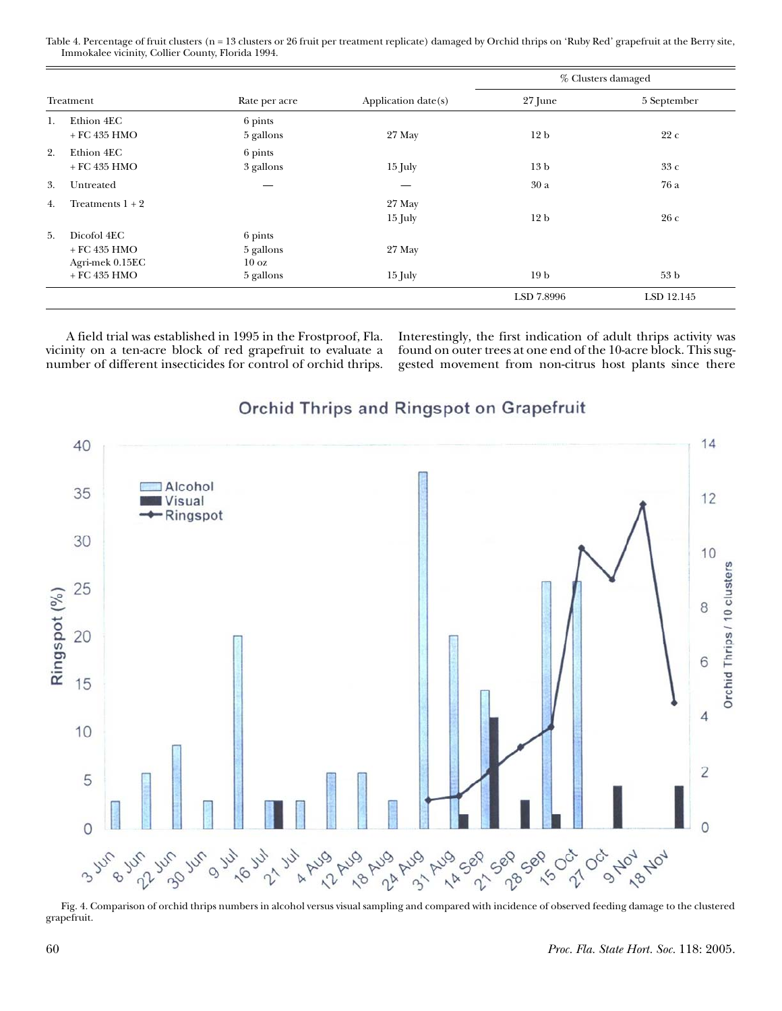Table 4. Percentage of fruit clusters (n = 13 clusters or 26 fruit per treatment replicate) damaged by Orchid thrips on 'Ruby Red' grapefruit at the Berry site, Immokalee vicinity, Collier County, Florida 1994.

|           |                                                                    |                                                      |                     | % Clusters damaged |                 |  |
|-----------|--------------------------------------------------------------------|------------------------------------------------------|---------------------|--------------------|-----------------|--|
| Treatment |                                                                    | Rate per acre                                        | Application date(s) | 27 June            | 5 September     |  |
| 1.        | Ethion 4EC<br>$+$ FC 435 HMO                                       | 6 pints<br>5 gallons                                 | 27 May              | 12 <sub>b</sub>    | 22c             |  |
| 2.        | Ethion 4EC<br>$+$ FC 435 HMO                                       | 6 pints<br>3 gallons                                 | $15$ July           | 13 <sub>b</sub>    | 33 с            |  |
| 3.        | Untreated                                                          |                                                      |                     | 30a                | 76 a            |  |
| 4.        | Treatments $1 + 2$                                                 |                                                      | 27 May<br>$15$ July | 12 <sub>b</sub>    | 26c             |  |
| 5.        | Dicofol 4EC<br>$+$ FC 435 HMO<br>Agri-mek 0.15EC<br>$+$ FC 435 HMO | 6 pints<br>5 gallons<br>$10 \text{ oz}$<br>5 gallons | 27 May<br>$15$ July | 19 <sub>b</sub>    | 53 <sub>b</sub> |  |
|           |                                                                    |                                                      |                     | LSD 7.8996         | LSD 12.145      |  |

A field trial was established in 1995 in the Frostproof, Fla. vicinity on a ten-acre block of red grapefruit to evaluate a number of different insecticides for control of orchid thrips.

Interestingly, the first indication of adult thrips activity was found on outer trees at one end of the 10-acre block. This suggested movement from non-citrus host plants since there



# Orchid Thrips and Ringspot on Grapefruit

Fig. 4. Comparison of orchid thrips numbers in alcohol versus visual sampling and compared with incidence of observed feeding damage to the clustered grapefruit.